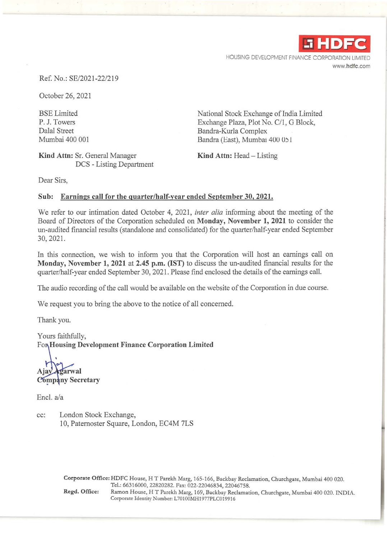

HOUSING DEVELOPMENT FINANCE CORPORATION LIMITED www.hdfc.com

Ref. No.: SE/2021 -22/219

October 26, 2021

BSE Limited P. J. Towers Dalal Street Mumbai 400 001

**Kind Attn:** Sr. General Manager DCS - Listing Department National Stock Exchange of India Limited Exchange Plaza, Plot No. *Cll,* G Block, Bandra-Kurla Complex Bandra (East), Mumbai 400 051

**Kind Attn:** Head- Listing

Dear Sirs,

#### **Sub: Earnings call for the quarter/half-year ended September 30, 2021.**

We refer to our intimation dated October 4, 2021, *inter alia* informing about the meeting of the Board of Directors of the Corporation scheduled on **Monday, November 1, 2021** to consider the un-audited financial results (standalone and consolidated) for the quarter/half-year ended September 30, 2021.

In this connection, we wish to inform you that the Corporation will host an earnings call on **Monday, November 1, 2021 at 2.45 p.m. (IST)** to discuss the un-audited financial results for the quarter/half-year ended September 30, 2021. Please find enclosed the details of the earnings call.

The audio recording of the call would be available on the website of the Corporation in due course.

We request you to bring the above to the notice of all concerned.

Thank you.

Yours faithfully, For Housing Development Finance Corporation Limited

garwal **Company Secretary** 

Encl. a/a

cc: London Stock Exchange, 10, Paternoster Square, London, EC4M 7LS

> Corporate Office: HDFC House, HT Parekh Marg, 165-166, Backbay Reclamation, Churchgate, Mumbai 400 020. Tel.: 66316000, 22820282. Fax: 022-22046834, 22046758. Regd. Office: Ramon House, HT Parekh Marg, 169, Backbay Reclamation, Churchgate, Mumbai 400 020. INDIA.

Corporate Identity Number: L70100MH1977PLC019916